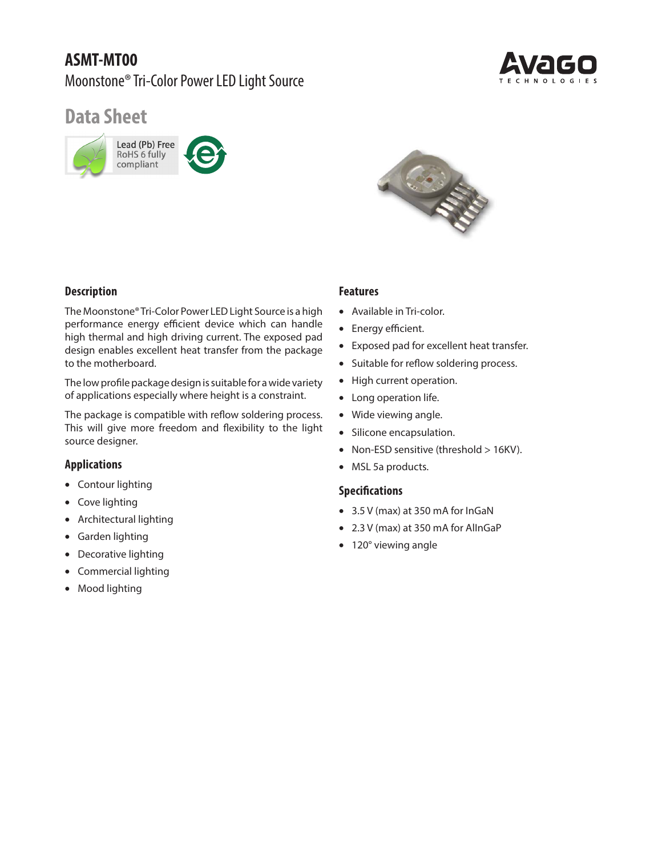# **ASMT-MT00** Moonstone® Tri-Color Power LED Light Source



# **Data Sheet**





## **Description**

The Moonstone® Tri-Color Power LED Light Source is a high performance energy efficient device which can handle high thermal and high driving current. The exposed pad design enables excellent heat transfer from the package to the motherboard.

The low profile package design is suitable for a wide variety of applications especially where height is a constraint.

The package is compatible with reflow soldering process. This will give more freedom and flexibility to the light source designer.

## **Applications**

- Contour lighting
- Cove lighting
- Architectural lighting
- Garden lighting
- Decorative lighting
- Commercial lighting
- Mood lighting

## **Features**

- Available in Tri-color.
- Energy efficient.
- Exposed pad for excellent heat transfer.
- Suitable for reflow soldering process.
- High current operation.
- Long operation life.
- Wide viewing angle.
- Silicone encapsulation.
- Non-ESD sensitive (threshold > 16KV).
- MSL 5a products.

#### **Specifications**

- 3.5 V (max) at 350 mA for InGaN
- 2.3 V (max) at 350 mA for AlInGaP
- 120° viewing angle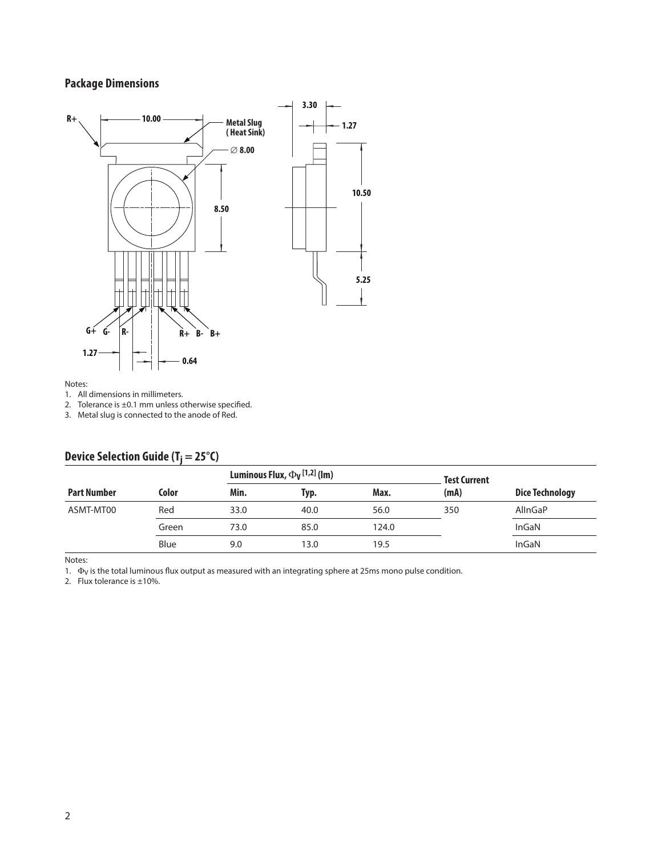## **Package Dimensions**



#### Notes:

1. All dimensions in millimeters.

2. Tolerance is  $\pm 0.1$  mm unless otherwise specified.

3. Metal slug is connected to the anode of Red.

|                    |       | Luminous Flux, $\Phi$ <sub>V</sub> [1,2] (lm) |      | <b>Test Current</b> |      |                        |
|--------------------|-------|-----------------------------------------------|------|---------------------|------|------------------------|
| <b>Part Number</b> | Color | Min.                                          | Typ. | Max.                | (mA) | <b>Dice Technology</b> |
| ASMT-MT00          | Red   | 33.0                                          | 40.0 | 56.0                | 350  | AllnGaP                |
|                    | Green | 73.0                                          | 85.0 | 124.0               |      | InGaN                  |
|                    | Blue  | 9.0                                           | 13.0 | 19.5                |      | InGaN                  |

## **Device Selection Guide (T<sub>i</sub> = 25°C)**

Notes:

1.  $\Phi$ <sub>V</sub> is the total luminous flux output as measured with an integrating sphere at 25ms mono pulse condition.

2. Flux tolerance is  $\pm 10\%$ .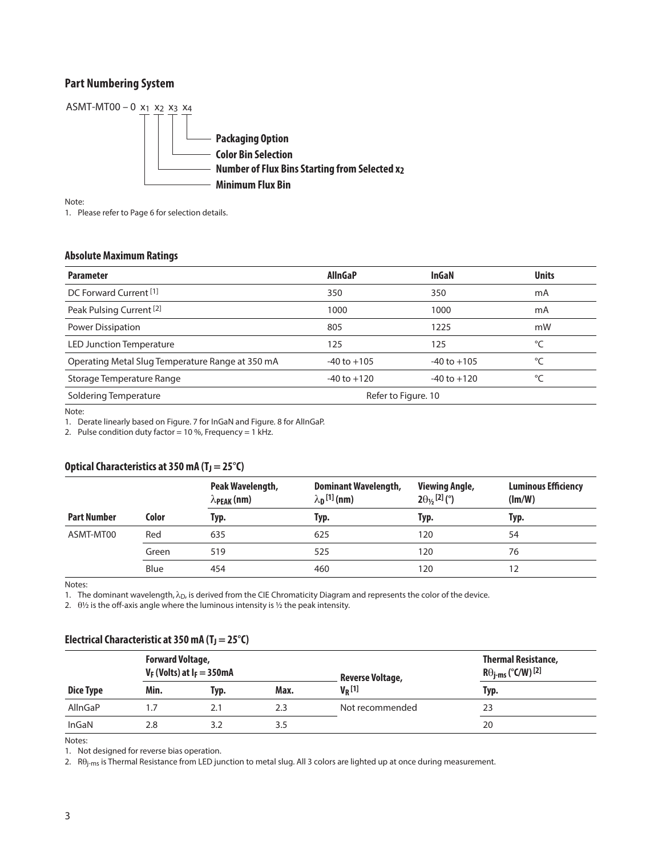### **Part Numbering System**



Note:

1. Please refer to Page 6 for selection details.

#### **Absolute Maximum Ratings**

| <b>Parameter</b>                                 | <b>AllnGaP</b>  | InGaN               | <b>Units</b> |
|--------------------------------------------------|-----------------|---------------------|--------------|
| DC Forward Current <sup>[1]</sup>                | 350             | 350                 | mA           |
| Peak Pulsing Current <sup>[2]</sup>              | 1000            | 1000                | mA           |
| Power Dissipation                                | 805             | 1225                | mW           |
| <b>LED Junction Temperature</b>                  | 125             | 125                 | °C           |
| Operating Metal Slug Temperature Range at 350 mA | $-40$ to $+105$ | $-40$ to $+105$     | °C           |
| Storage Temperature Range                        | $-40$ to $+120$ | $-40$ to $+120$     | °C           |
| Soldering Temperature                            |                 | Refer to Figure. 10 |              |

Note:

1. Derate linearly based on Figure. 7 for InGaN and Figure. 8 for AlInGaP.

2. Pulse condition duty factor = 10 %, Frequency = 1 kHz.

#### Optical Characteristics at 350 mA (T<sub>J</sub> = 25°C)

|                    |       | Peak Wavelength,<br>$\lambda_{\rm PEAK}$ (nm) | <b>Dominant Wavelength,</b><br>$\lambda_{\mathbf{D}}$ [1] (nm) | <b>Viewing Angle,</b><br>$2\theta_{\frac{1}{2}}$ [2] (°) | <b>Luminous Efficiency</b><br>$(\text{Im}/\text{W})$ |
|--------------------|-------|-----------------------------------------------|----------------------------------------------------------------|----------------------------------------------------------|------------------------------------------------------|
| <b>Part Number</b> | Color | Typ.                                          | Typ.                                                           | Typ.                                                     | Typ.                                                 |
| ASMT-MT00          | Red   | 635                                           | 625                                                            | 120                                                      | 54                                                   |
|                    | Green | 519                                           | 525                                                            | 120                                                      | 76                                                   |
|                    | Blue  | 454                                           | 460                                                            | 120                                                      | 12                                                   |

Notes:

1. The dominant wavelength,  $\lambda_D$ , is derived from the CIE Chromaticity Diagram and represents the color of the device.

2.  $\theta$ <sup>1</sup>/<sub>2</sub> is the off-axis angle where the luminous intensity is <sup>1</sup>/<sub>2</sub> the peak intensity.

|                  | <b>Forward Voltage,</b><br>$V_F$ (Volts) at $I_F = 350$ mA |      |      | <b>Reverse Voltage,</b> | <b>Thermal Resistance,</b><br>$R\Theta_{j\text{-ms}}$ (°C/W) [2] |
|------------------|------------------------------------------------------------|------|------|-------------------------|------------------------------------------------------------------|
| <b>Dice Type</b> | Min.                                                       | Typ. | Max. | $V_R$ [1]               | Typ.                                                             |
| AllnGaP          |                                                            | 2.1  | 2.3  | Not recommended         | 23                                                               |
| InGaN            | 2.8                                                        |      | 3.5  |                         | 20                                                               |

#### Electrical Characteristic at 350 mA (T<sub>J</sub> = 25<sup>°</sup>C)

Notes:

1. Not designed for reverse bias operation.

2. Rθj-ms is Thermal Resistance from LED junction to metal slug. All 3 colors are lighted up at once during measurement.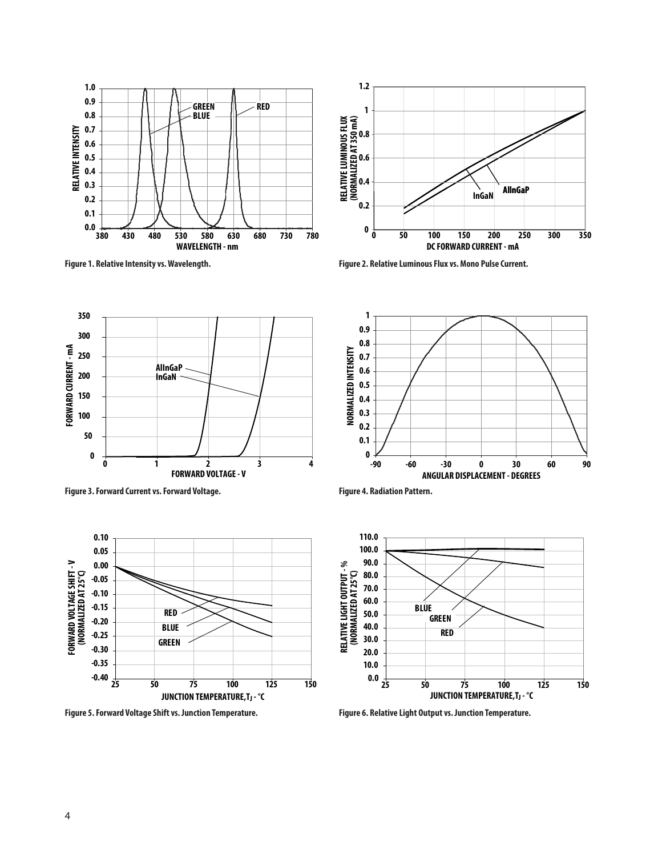



**Figure 1. Relative Intensity vs. Wavelength. Figure 2. Relative Luminous Flux vs. Mono Pulse Current.**









**Figure 5. Forward Voltage Shift vs. Junction Temperature. Figure 6. Relative Light Output vs. Junction Temperature.**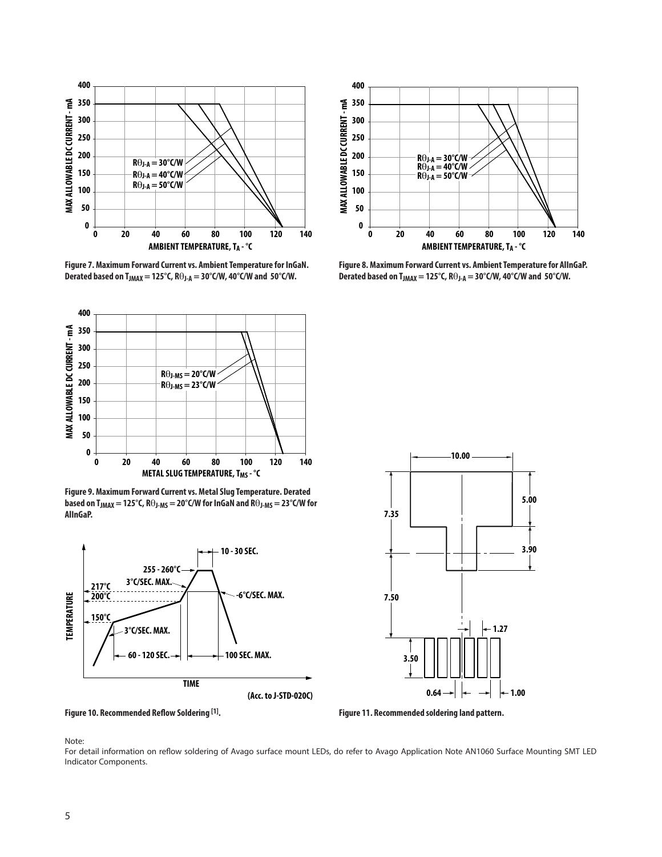

**Figure 7. Maximum Forward Current vs. Ambient Temperature for InGaN.**  Derated based on T<sub>JMAX</sub> = 125°C,  $R\Theta_{J-A}$  = 30°C/W, 40°C/W and 50°C/W.



**Figure 9. Maximum Forward Current vs. Metal Slug Temperature. Derated based on TJMAX = 125°C, R**θ**J-MS = 20°C/W for InGaN and R**θ**J-MS = 23°C/W for AlInGaP.**







**Figure 8. Maximum Forward Current vs. Ambient Temperature for AlInGaP.**  Derated based on T<sub>JMAX</sub> = 125°C,  $R\Theta_{J-A}$  = 30°C/W, 40°C/W and 50°C/W.



Figure 10. Recommended Reflow Soldering <sup>[1]</sup>. *Commended soldering land pattern. industern.* 

Note:

For detail information on reflow soldering of Avago surface mount LEDs, do refer to Avago Application Note AN1060 Surface Mounting SMT LED Indicator Components.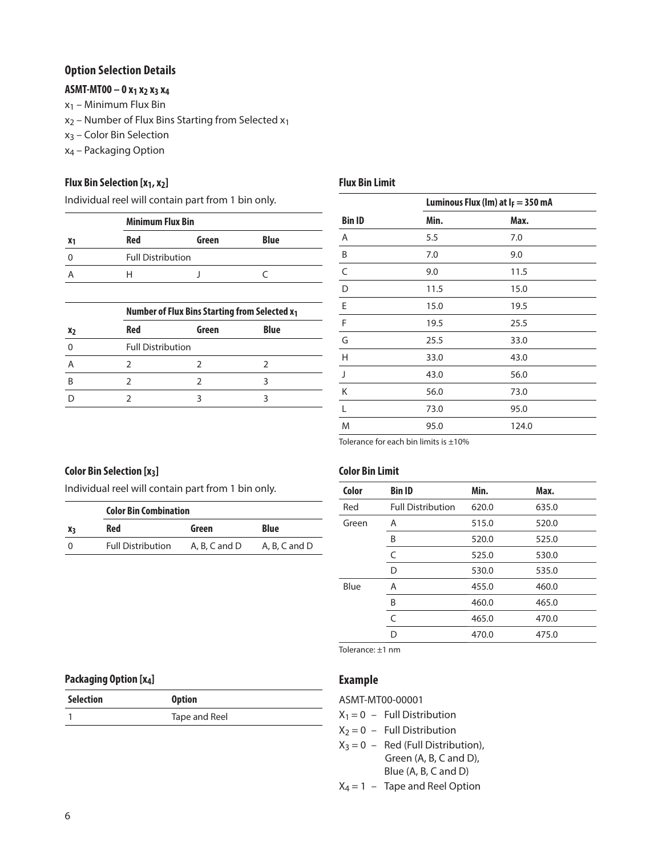#### **Option Selection Details**

## **ASMT-MT00 – 0 x1 x2 x3 x4**

- $x_1$  Minimum Flux Bin
- $x_2$  Number of Flux Bins Starting from Selected  $x_1$
- x3 Color Bin Selection
- x4 Packaging Option

#### **Flux Bin Selection [x<sub>1</sub>, x<sub>2</sub>]**

Individual reel will contain part from 1 bin only.

|            | <b>Minimum Flux Bin</b>  |             |  |
|------------|--------------------------|-------------|--|
| <b>Red</b> | Green                    | <b>Blue</b> |  |
|            | <b>Full Distribution</b> |             |  |
| ᆸ          |                          |             |  |

|                | Number of Flux Bins Starting from Selected x1 |       |             |  |
|----------------|-----------------------------------------------|-------|-------------|--|
| X <sub>2</sub> | <b>Red</b>                                    | Green | <b>Blue</b> |  |
|                | <b>Full Distribution</b>                      |       |             |  |
|                |                                               |       |             |  |
| R              |                                               |       |             |  |
|                |                                               |       |             |  |

|               | Luminous Flux (lm) at $I_F = 350$ mA |       |
|---------------|--------------------------------------|-------|
| <b>Bin ID</b> | Min.                                 | Max.  |
| Α             | 5.5                                  | 7.0   |
| B             | 7.0                                  | 9.0   |
| $\mathsf{C}$  | 9.0                                  | 11.5  |
| D             | 11.5                                 | 15.0  |
| Ε             | 15.0                                 | 19.5  |
| F             | 19.5                                 | 25.5  |
| G             | 25.5                                 | 33.0  |
| Н             | 33.0                                 | 43.0  |
| $\mathbf{I}$  | 43.0                                 | 56.0  |
| Κ             | 56.0                                 | 73.0  |
| L             | 73.0                                 | 95.0  |
| M             | 95.0                                 | 124.0 |

Tolerance for each bin limits is  $\pm 10\%$ 

### **Color Bin Selection [x3]**

Individual reel will contain part from 1 bin only.

|          | <b>Color Bin Combination</b> |               |               |
|----------|------------------------------|---------------|---------------|
| Xз       | Red                          | Green         | Blue          |
| $\Omega$ | <b>Full Distribution</b>     | A. B. C and D | A, B, C and D |

#### **Color Bin Limit**

**Flux Bin Limit** 

| Color | <b>Bin ID</b>            | Min.  | Max.  |
|-------|--------------------------|-------|-------|
| Red   | <b>Full Distribution</b> | 620.0 | 635.0 |
| Green | A                        | 515.0 | 520.0 |
|       | B                        | 520.0 | 525.0 |
|       | C                        | 525.0 | 530.0 |
|       | D                        | 530.0 | 535.0 |
| Blue  | Α                        | 455.0 | 460.0 |
|       | B                        | 460.0 | 465.0 |
|       | C                        | 465.0 | 470.0 |
|       | D                        | 470.0 | 475.0 |
|       |                          |       |       |

Tolerance: ±1 nm

#### **Example**

ASMT-MT00-00001

- $X_1 = 0$  Full Distribution
- $X_2 = 0$  Full Distribution
- $X_3 = 0$  Red (Full Distribution), Green (A, B, C and D), Blue (A, B, C and D)
- $X_4 = 1 -$  Tape and Reel Option

#### **Packaging Option [x4]**

| Selection | <b>Option</b> |
|-----------|---------------|
|           | Tape and Reel |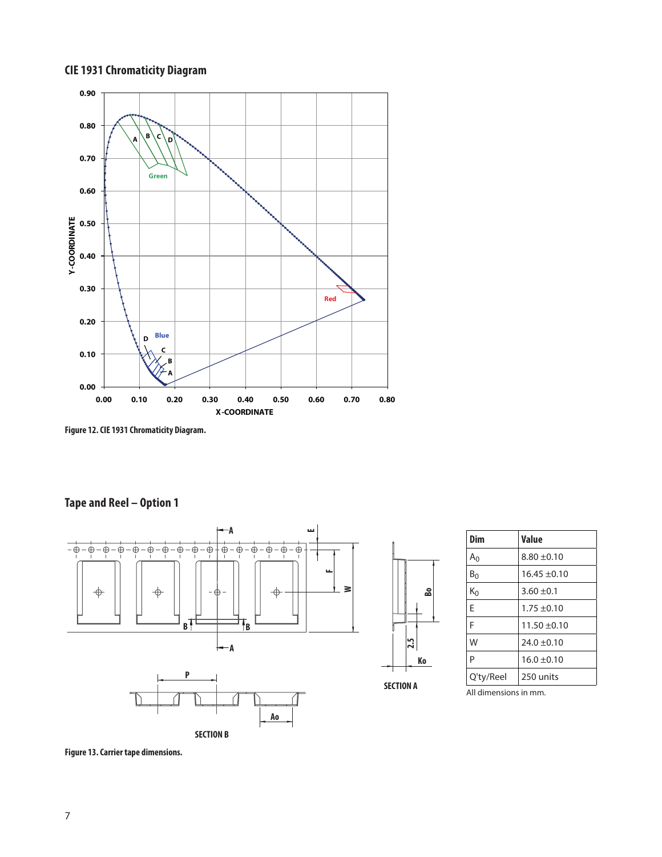## **CIE 1931 Chromaticity Diagram**



**Figure 12. CIE 1931 Chromaticity Diagram.**

## **Tape and Reel – Option 1**



| Dim            | Value            |
|----------------|------------------|
| A <sub>0</sub> | $8.80 + 0.10$    |
| $B_0$          | $16.45 \pm 0.10$ |
| K٥             | $3.60 \pm 0.1$   |
| F              | $1.75 + 0.10$    |
| F              | $11.50 \pm 0.10$ |
| W              | $24.0 \pm 0.10$  |
| P              | $16.0 + 0.10$    |
| Q'ty/Reel      | 250 units        |

**Ko**

**Bo**

All dimensions in mm.

**Figure 13. Carrier tape dimensions.**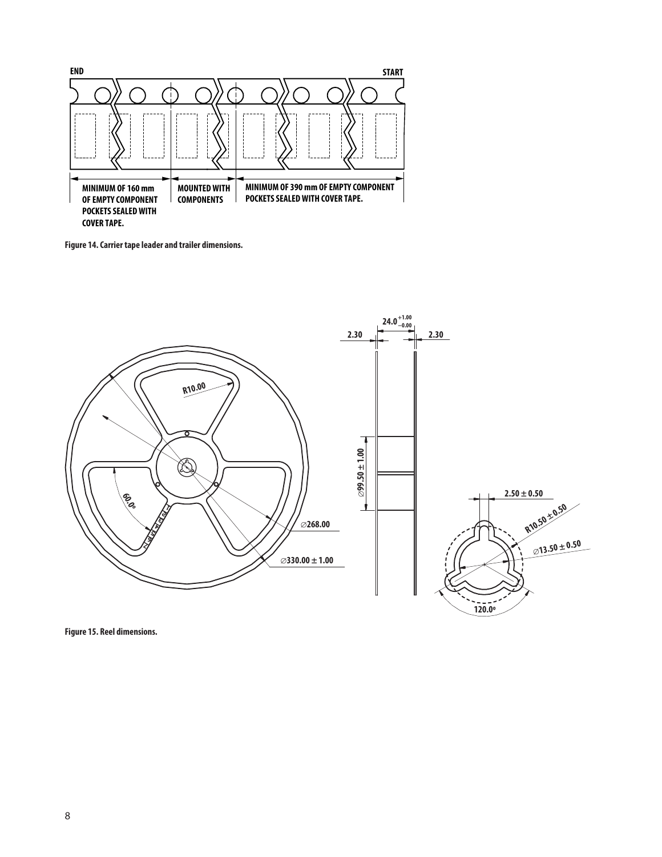

Figure 14. Carrier tape leader and trailer dimensions.<br>.



**Figure 15. Reel dimensions.**